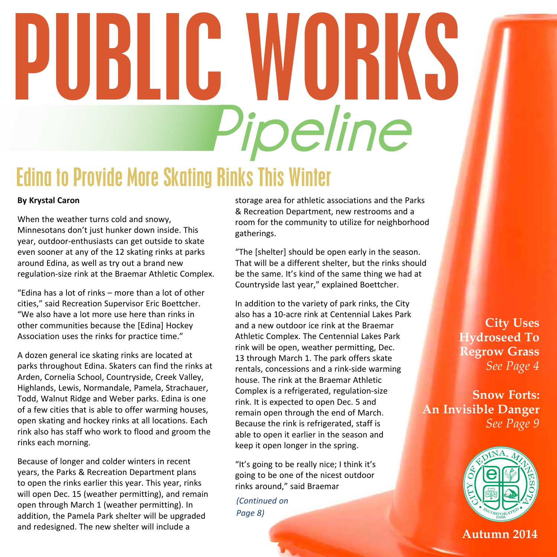# Edina to Provide More Skating Rinks This Winter **Pipeline** PUBLIC WORKS

#### **By Krystal Caron**

When the weather turns cold and snowy, Minnesotans don't just hunker down inside. This year, outdoor-enthusiasts can get outside to skate even sooner at any of the 12 skating rinks at parks around Edina, as well as try out a brand new regulation-size rink at the Braemar Athletic Complex.

"Edina has a lot of rinks – more than a lot of other cities," said Recreation Supervisor Eric Boettcher. "We also have a lot more use here than rinks in other communities because the [Edina] Hockey Association uses the rinks for practice time."

A dozen general ice skating rinks are located at parks throughout Edina. Skaters can find the rinks at Arden, Cornelia School, Countryside, Creek Valley, Highlands, Lewis, Normandale, Pamela, Strachauer, Todd, Walnut Ridge and Weber parks. Edina is one of a few cities that is able to offer warming houses, open skating and hockey rinks at all locations. Each rink also has staff who work to flood and groom the rinks each morning.

Because of longer and colder winters in recent years, the Parks & Recreation Department plans to open the rinks earlier this year. This year, rinks will open Dec. 15 (weather permitting), and remain open through March 1 (weather permitting). In addition, the Pamela Park shelter will be upgraded and redesigned. The new shelter will include a

storage area for athletic associations and the Parks & Recreation Department, new restrooms and a room for the community to utilize for neighborhood gatherings.

"The [shelter] should be open early in the season. That will be a different shelter, but the rinks should be the same. It's kind of the same thing we had at Countryside last year," explained Boettcher.

In addition to the variety of park rinks, the City also has a 10-acre rink at Centennial Lakes Park and a new outdoor ice rink at the Braemar Athletic Complex. The Centennial Lakes Park rink will be open, weather permitting, Dec. 13 through March 1. The park offers skate rentals, concessions and a rink-side warming house. The rink at the Braemar Athletic Complex is a refrigerated, regulation-size rink. It is expected to open Dec. 5 and remain open through the end of March. Because the rink is refrigerated, staff is able to open it earlier in the season and keep it open longer in the spring.

"It's going to be really nice; I think it's going to be one of the nicest outdoor rinks around," said Braemar

*(Continued on Page 8)*

**City Uses Hydroseed To Regrow Grass** *See Page 4*

**Snow Forts: An Invisible Danger** *See Page 9*



**Autumn 2014**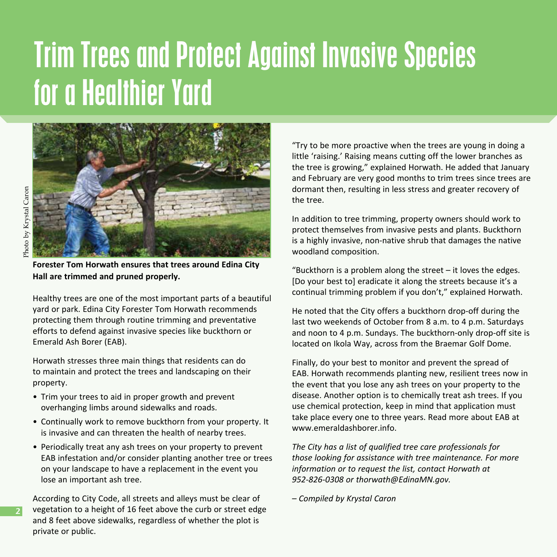### Trim Trees and Protect Against Invasive Species for a Healthier Yard



**2**

**Forester Tom Horwath ensures that trees around Edina City Hall are trimmed and pruned properly.** 

Healthy trees are one of the most important parts of a beautiful yard or park. Edina City Forester Tom Horwath recommends protecting them through routine trimming and preventative efforts to defend against invasive species like buckthorn or Emerald Ash Borer (EAB).

Horwath stresses three main things that residents can do to maintain and protect the trees and landscaping on their property.

- Trim your trees to aid in proper growth and prevent overhanging limbs around sidewalks and roads.
- Continually work to remove buckthorn from your property. It is invasive and can threaten the health of nearby trees.
- Periodically treat any ash trees on your property to prevent EAB infestation and/or consider planting another tree or trees on your landscape to have a replacement in the event you lose an important ash tree.

According to City Code, all streets and alleys must be clear of vegetation to a height of 16 feet above the curb or street edge and 8 feet above sidewalks, regardless of whether the plot is private or public.

"Try to be more proactive when the trees are young in doing a little 'raising.' Raising means cutting off the lower branches as the tree is growing," explained Horwath. He added that January and February are very good months to trim trees since trees are dormant then, resulting in less stress and greater recovery of the tree.

In addition to tree trimming, property owners should work to protect themselves from invasive pests and plants. Buckthorn is a highly invasive, non-native shrub that damages the native woodland composition.

"Buckthorn is a problem along the street – it loves the edges. [Do your best to] eradicate it along the streets because it's a continual trimming problem if you don't," explained Horwath.

He noted that the City offers a buckthorn drop-off during the last two weekends of October from 8 a.m. to 4 p.m. Saturdays and noon to 4 p.m. Sundays. The buckthorn-only drop-off site is located on Ikola Way, across from the Braemar Golf Dome.

Finally, do your best to monitor and prevent the spread of EAB. Horwath recommends planting new, resilient trees now in the event that you lose any ash trees on your property to the disease. Another option is to chemically treat ash trees. If you use chemical protection, keep in mind that application must take place every one to three years. Read more about EAB at www.emeraldashborer.info.

*The City has a list of qualified tree care professionals for those looking for assistance with tree maintenance. For more information or to request the list, contact Horwath at 952-826-0308 or thorwath@EdinaMN.gov.*

*– Compiled by Krystal Caron*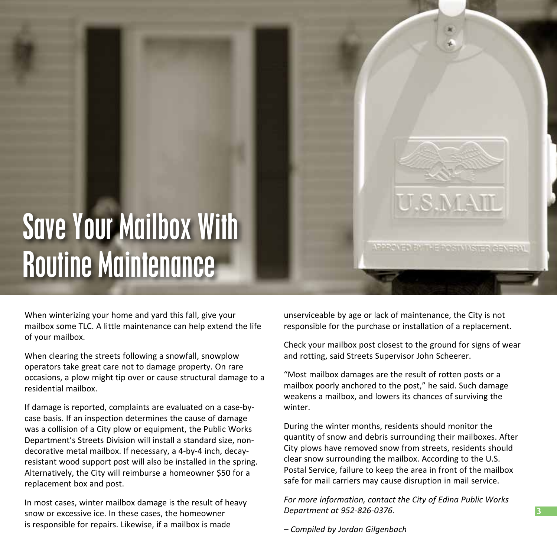# Save Your Mailbox With Routine Maintenance

When winterizing your home and yard this fall, give your mailbox some TLC. A little maintenance can help extend the life of your mailbox.

When clearing the streets following a snowfall, snowplow operators take great care not to damage property. On rare occasions, a plow might tip over or cause structural damage to a residential mailbox.

If damage is reported, complaints are evaluated on a case-bycase basis. If an inspection determines the cause of damage was a collision of a City plow or equipment, the Public Works Department's Streets Division will install a standard size, nondecorative metal mailbox. If necessary, a 4-by-4 inch, decayresistant wood support post will also be installed in the spring. Alternatively, the City will reimburse a homeowner \$50 for a replacement box and post.

In most cases, winter mailbox damage is the result of heavy snow or excessive ice. In these cases, the homeowner is responsible for repairs. Likewise, if a mailbox is made

unserviceable by age or lack of maintenance, the City is not responsible for the purchase or installation of a replacement.

U.S.M.AIL

VOCARO ED EN THE DOCT VIAS TER CENERAL

Check your mailbox post closest to the ground for signs of wear and rotting, said Streets Supervisor John Scheerer.

"Most mailbox damages are the result of rotten posts or a mailbox poorly anchored to the post," he said. Such damage weakens a mailbox, and lowers its chances of surviving the winter.

During the winter months, residents should monitor the quantity of snow and debris surrounding their mailboxes. After City plows have removed snow from streets, residents should clear snow surrounding the mailbox. According to the U.S. Postal Service, failure to keep the area in front of the mailbox safe for mail carriers may cause disruption in mail service.

*For more information, contact the City of Edina Public Works Department at 952-826-0376.*

*– Compiled by Jordan Gilgenbach*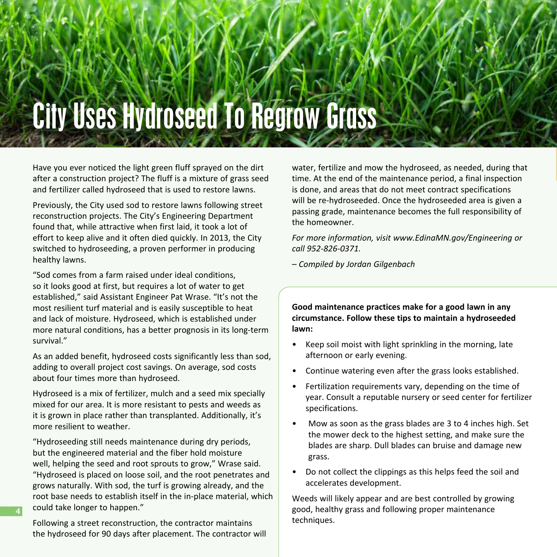# City Uses Hydroseed To Regrow Grass

Have you ever noticed the light green fluff sprayed on the dirt after a construction project? The fluff is a mixture of grass seed and fertilizer called hydroseed that is used to restore lawns.

Previously, the City used sod to restore lawns following street reconstruction projects. The City's Engineering Department found that, while attractive when first laid, it took a lot of effort to keep alive and it often died quickly. In 2013, the City switched to hydroseeding, a proven performer in producing healthy lawns.

"Sod comes from a farm raised under ideal conditions, so it looks good at first, but requires a lot of water to get established," said Assistant Engineer Pat Wrase. "It's not the most resilient turf material and is easily susceptible to heat and lack of moisture. Hydroseed, which is established under more natural conditions, has a better prognosis in its long-term survival."

As an added benefit, hydroseed costs significantly less than sod, adding to overall project cost savings. On average, sod costs about four times more than hydroseed.

Hydroseed is a mix of fertilizer, mulch and a seed mix specially mixed for our area. It is more resistant to pests and weeds as it is grown in place rather than transplanted. Additionally, it's more resilient to weather.

"Hydroseeding still needs maintenance during dry periods, but the engineered material and the fiber hold moisture well, helping the seed and root sprouts to grow," Wrase said. "Hydroseed is placed on loose soil, and the root penetrates and grows naturally. With sod, the turf is growing already, and the root base needs to establish itself in the in-place material, which could take longer to happen."

Following a street reconstruction, the contractor maintains the hydroseed for 90 days after placement. The contractor will

**4**

water, fertilize and mow the hydroseed, as needed, during that time. At the end of the maintenance period, a final inspection is done, and areas that do not meet contract specifications will be re-hydroseeded. Once the hydroseeded area is given a passing grade, maintenance becomes the full responsibility of the homeowner.

*For more information, visit www.EdinaMN.gov/Engineering or call 952-826-0371.*

*– Compiled by Jordan Gilgenbach*

**Good maintenance practices make for a good lawn in any circumstance. Follow these tips to maintain a hydroseeded lawn:** 

- Keep soil moist with light sprinkling in the morning, late afternoon or early evening.
- Continue watering even after the grass looks established.
- Fertilization requirements vary, depending on the time of year. Consult a reputable nursery or seed center for fertilizer specifications.
- Mow as soon as the grass blades are 3 to 4 inches high. Set the mower deck to the highest setting, and make sure the blades are sharp. Dull blades can bruise and damage new grass.
- Do not collect the clippings as this helps feed the soil and accelerates development.

Weeds will likely appear and are best controlled by growing good, healthy grass and following proper maintenance techniques.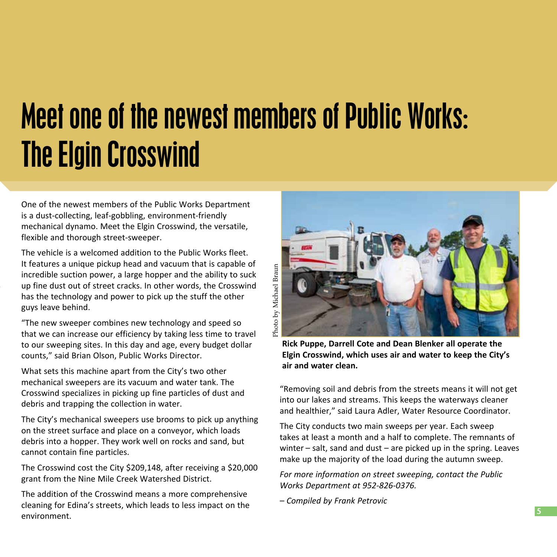### Meet one of the newest members of Public Works: The Elgin Crosswind

One of the newest members of the Public Works Department is a dust-collecting, leaf-gobbling, environment-friendly mechanical dynamo. Meet the Elgin Crosswind, the versatile, flexible and thorough street-sweeper.

The vehicle is a welcomed addition to the Public Works fleet. It features a unique pickup head and vacuum that is capable of incredible suction power, a large hopper and the ability to suck up fine dust out of street cracks. In other words, the Crosswind has the technology and power to pick up the stuff the other guys leave behind.

"The new sweeper combines new technology and speed so that we can increase our efficiency by taking less time to travel to our sweeping sites. In this day and age, every budget dollar counts," said Brian Olson, Public Works Director.

What sets this machine apart from the City's two other mechanical sweepers are its vacuum and water tank. The Crosswind specializes in picking up fine particles of dust and debris and trapping the collection in water.

The City's mechanical sweepers use brooms to pick up anything on the street surface and place on a conveyor, which loads debris into a hopper. They work well on rocks and sand, but cannot contain fine particles.

The Crosswind cost the City \$209,148, after receiving a \$20,000 grant from the Nine Mile Creek Watershed District.

The addition of the Crosswind means a more comprehensive cleaning for Edina's streets, which leads to less impact on the environment.



**Rick Puppe, Darrell Cote and Dean Blenker all operate the Elgin Crosswind, which uses air and water to keep the City's air and water clean.** 

"Removing soil and debris from the streets means it will not get into our lakes and streams. This keeps the waterways cleaner and healthier," said Laura Adler, Water Resource Coordinator.

The City conducts two main sweeps per year. Each sweep takes at least a month and a half to complete. The remnants of winter  $-$  salt, sand and dust  $-$  are picked up in the spring. Leaves make up the majority of the load during the autumn sweep.

*For more information on street sweeping, contact the Public Works Department at 952-826-0376.*

*– Compiled by Frank Petrovic*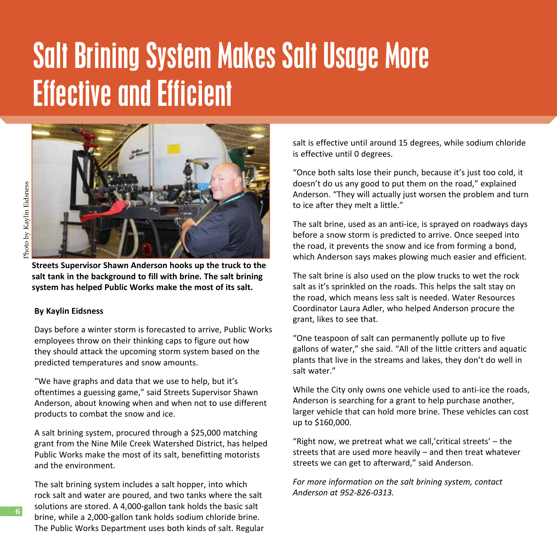### Salt Brining System Makes Salt Usage More Effective and Efficient



**Streets Supervisor Shawn Anderson hooks up the truck to the salt tank in the background to fill with brine. The salt brining system has helped Public Works make the most of its salt.**

#### **By Kaylin Eidsness**

Days before a winter storm is forecasted to arrive, Public Works employees throw on their thinking caps to figure out how they should attack the upcoming storm system based on the predicted temperatures and snow amounts.

"We have graphs and data that we use to help, but it's oftentimes a guessing game," said Streets Supervisor Shawn Anderson, about knowing when and when not to use different products to combat the snow and ice.

A salt brining system, procured through a \$25,000 matching grant from the Nine Mile Creek Watershed District, has helped Public Works make the most of its salt, benefitting motorists and the environment.

The salt brining system includes a salt hopper, into which rock salt and water are poured, and two tanks where the salt solutions are stored. A 4,000-gallon tank holds the basic salt brine, while a 2,000-gallon tank holds sodium chloride brine. The Public Works Department uses both kinds of salt. Regular

salt is effective until around 15 degrees, while sodium chloride is effective until 0 degrees.

"Once both salts lose their punch, because it's just too cold, it doesn't do us any good to put them on the road," explained Anderson. "They will actually just worsen the problem and turn to ice after they melt a little."

The salt brine, used as an anti-ice, is sprayed on roadways days before a snow storm is predicted to arrive. Once seeped into the road, it prevents the snow and ice from forming a bond, which Anderson says makes plowing much easier and efficient.

The salt brine is also used on the plow trucks to wet the rock salt as it's sprinkled on the roads. This helps the salt stay on the road, which means less salt is needed. Water Resources Coordinator Laura Adler, who helped Anderson procure the grant, likes to see that.

"One teaspoon of salt can permanently pollute up to five gallons of water," she said. "All of the little critters and aquatic plants that live in the streams and lakes, they don't do well in salt water."

While the City only owns one vehicle used to anti-ice the roads, Anderson is searching for a grant to help purchase another, larger vehicle that can hold more brine. These vehicles can cost up to \$160,000.

"Right now, we pretreat what we call,'critical streets' – the streets that are used more heavily – and then treat whatever streets we can get to afterward," said Anderson.

*For more information on the salt brining system, contact Anderson at 952-826-0313.*

**6**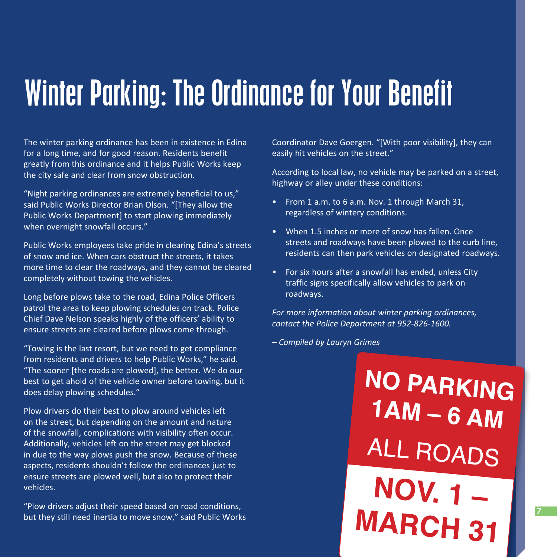#### Winter Parking: The Ordinance for Your Benefit

The winter parking ordinance has been in existence in Edina for a long time, and for good reason. Residents benefit greatly from this ordinance and it helps Public Works keep the city safe and clear from snow obstruction.

"Night parking ordinances are extremely beneficial to us," said Public Works Director Brian Olson. "[They allow the Public Works Department] to start plowing immediately when overnight snowfall occurs."

Public Works employees take pride in clearing Edina's streets of snow and ice. When cars obstruct the streets, it takes more time to clear the roadways, and they cannot be cleared completely without towing the vehicles.

Long before plows take to the road, Edina Police Officers patrol the area to keep plowing schedules on track. Police Chief Dave Nelson speaks highly of the officers' ability to ensure streets are cleared before plows come through.

"Towing is the last resort, but we need to get compliance from residents and drivers to help Public Works," he said. "The sooner [the roads are plowed], the better. We do our best to get ahold of the vehicle owner before towing, but it does delay plowing schedules."

Plow drivers do their best to plow around vehicles left on the street, but depending on the amount and nature of the snowfall, complications with visibility often occur. Additionally, vehicles left on the street may get blocked in due to the way plows push the snow. Because of these aspects, residents shouldn't follow the ordinances just to ensure streets are plowed well, but also to protect their vehicles.

"Plow drivers adjust their speed based on road conditions, but they still need inertia to move snow," said Public Works Coordinator Dave Goergen. "[With poor visibility], they can easily hit vehicles on the street."

According to local law, no vehicle may be parked on a street, highway or alley under these conditions:

- From 1 a.m. to 6 a.m. Nov. 1 through March 31, regardless of wintery conditions.
- When 1.5 inches or more of snow has fallen. Once streets and roadways have been plowed to the curb line, residents can then park vehicles on designated roadways.
- For six hours after a snowfall has ended, unless City traffic signs specifically allow vehicles to park on roadways.

*For more information about winter parking ordinances, contact the Police Department at 952-826-1600.*

*– Compiled by Lauryn Grimes*

**NO PARKING**  $1AM - 6 AM$ ALL ROADS **NOV. 1 – MARCH 31** 

**7**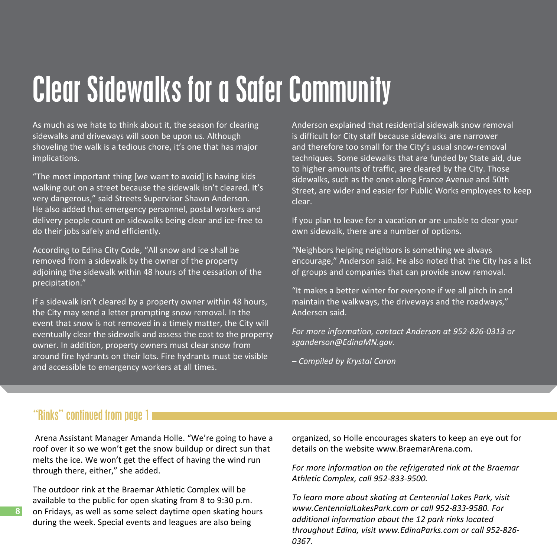### Clear Sidewalks for a Safer Community

As much as we hate to think about it, the season for clearing sidewalks and driveways will soon be upon us. Although shoveling the walk is a tedious chore, it's one that has major implications.

"The most important thing [we want to avoid] is having kids walking out on a street because the sidewalk isn't cleared. It's very dangerous," said Streets Supervisor Shawn Anderson. He also added that emergency personnel, postal workers and delivery people count on sidewalks being clear and ice-free to do their jobs safely and efficiently.

According to Edina City Code, "All snow and ice shall be removed from a sidewalk by the owner of the property adjoining the sidewalk within 48 hours of the cessation of the precipitation."

If a sidewalk isn't cleared by a property owner within 48 hours, the City may send a letter prompting snow removal. In the event that snow is not removed in a timely matter, the City will eventually clear the sidewalk and assess the cost to the property owner. In addition, property owners must clear snow from around fire hydrants on their lots. Fire hydrants must be visible and accessible to emergency workers at all times.

Anderson explained that residential sidewalk snow removal is difficult for City staff because sidewalks are narrower and therefore too small for the City's usual snow-removal techniques. Some sidewalks that are funded by State aid, due to higher amounts of traffic, are cleared by the City. Those sidewalks, such as the ones along France Avenue and 50th Street, are wider and easier for Public Works employees to keep clear.

If you plan to leave for a vacation or are unable to clear your own sidewalk, there are a number of options.

"Neighbors helping neighbors is something we always encourage," Anderson said. He also noted that the City has a list of groups and companies that can provide snow removal.

"It makes a better winter for everyone if we all pitch in and maintain the walkways, the driveways and the roadways," Anderson said.

*For more information, contact Anderson at 952-826-0313 or sganderson@EdinaMN.gov.* 

*– Compiled by Krystal Caron*

#### "Rinks" continued from page 1

**8**

 Arena Assistant Manager Amanda Holle. "We're going to have a roof over it so we won't get the snow buildup or direct sun that melts the ice. We won't get the effect of having the wind run through there, either," she added.

The outdoor rink at the Braemar Athletic Complex will be available to the public for open skating from 8 to 9:30 p.m. on Fridays, as well as some select daytime open skating hours during the week. Special events and leagues are also being

organized, so Holle encourages skaters to keep an eye out for details on the website www.BraemarArena.com.

*For more information on the refrigerated rink at the Braemar Athletic Complex, call 952-833-9500.* 

*To learn more about skating at Centennial Lakes Park, visit www.CentennialLakesPark.com or call 952-833-9580. For additional information about the 12 park rinks located throughout Edina, visit www.EdinaParks.com or call 952-826- 0367.*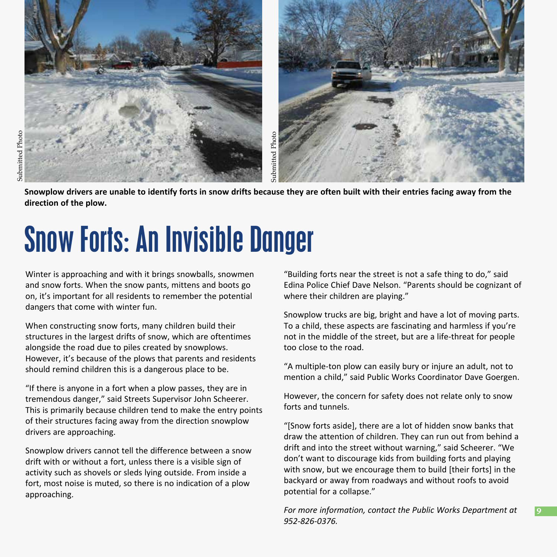

**Snowplow drivers are unable to identify forts in snow drifts because they are often built with their entries facing away from the direction of the plow.** 

### Snow Forts: An Invisible Danger

Winter is approaching and with it brings snowballs, snowmen and snow forts. When the snow pants, mittens and boots go on, it's important for all residents to remember the potential dangers that come with winter fun.

When constructing snow forts, many children build their structures in the largest drifts of snow, which are oftentimes alongside the road due to piles created by snowplows. However, it's because of the plows that parents and residents should remind children this is a dangerous place to be.

"If there is anyone in a fort when a plow passes, they are in tremendous danger," said Streets Supervisor John Scheerer. This is primarily because children tend to make the entry points of their structures facing away from the direction snowplow drivers are approaching.

Snowplow drivers cannot tell the difference between a snow drift with or without a fort, unless there is a visible sign of activity such as shovels or sleds lying outside. From inside a fort, most noise is muted, so there is no indication of a plow approaching.

"Building forts near the street is not a safe thing to do," said Edina Police Chief Dave Nelson. "Parents should be cognizant of where their children are playing."

Snowplow trucks are big, bright and have a lot of moving parts. To a child, these aspects are fascinating and harmless if you're not in the middle of the street, but are a life-threat for people too close to the road.

"A multiple-ton plow can easily bury or injure an adult, not to mention a child," said Public Works Coordinator Dave Goergen.

However, the concern for safety does not relate only to snow forts and tunnels.

"[Snow forts aside], there are a lot of hidden snow banks that draw the attention of children. They can run out from behind a drift and into the street without warning," said Scheerer. "We don't want to discourage kids from building forts and playing with snow, but we encourage them to build [their forts] in the backyard or away from roadways and without roofs to avoid potential for a collapse."

*For more information, contact the Public Works Department at 952-826-0376.*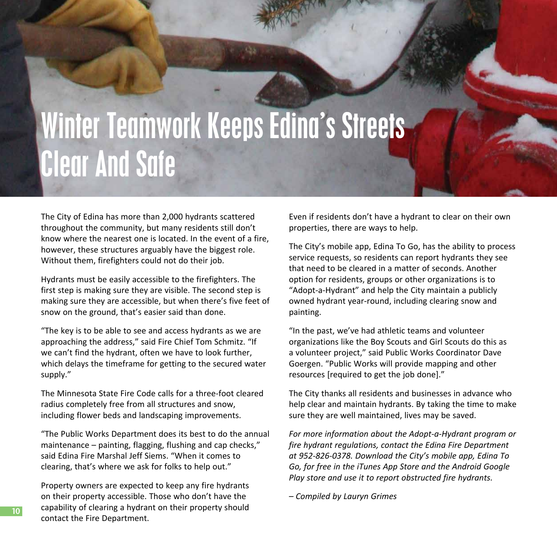## Winter Teamwork Keeps Edina's Streets **Clear And Safe**

The City of Edina has more than 2,000 hydrants scattered throughout the community, but many residents still don't know where the nearest one is located. In the event of a fire, however, these structures arguably have the biggest role. Without them, firefighters could not do their job.

Hydrants must be easily accessible to the firefighters. The first step is making sure they are visible. The second step is making sure they are accessible, but when there's five feet of snow on the ground, that's easier said than done.

"The key is to be able to see and access hydrants as we are approaching the address," said Fire Chief Tom Schmitz. "If we can't find the hydrant, often we have to look further, which delays the timeframe for getting to the secured water supply."

The Minnesota State Fire Code calls for a three-foot cleared radius completely free from all structures and snow, including flower beds and landscaping improvements.

"The Public Works Department does its best to do the annual maintenance – painting, flagging, flushing and cap checks," said Edina Fire Marshal Jeff Siems. "When it comes to clearing, that's where we ask for folks to help out."

Property owners are expected to keep any fire hydrants on their property accessible. Those who don't have the capability of clearing a hydrant on their property should contact the Fire Department.

Even if residents don't have a hydrant to clear on their own properties, there are ways to help.

The City's mobile app, Edina To Go, has the ability to process service requests, so residents can report hydrants they see that need to be cleared in a matter of seconds. Another option for residents, groups or other organizations is to "Adopt-a-Hydrant" and help the City maintain a publicly owned hydrant year-round, including clearing snow and painting.

"In the past, we've had athletic teams and volunteer organizations like the Boy Scouts and Girl Scouts do this as a volunteer project," said Public Works Coordinator Dave Goergen. "Public Works will provide mapping and other resources [required to get the job done]."

The City thanks all residents and businesses in advance who help clear and maintain hydrants. By taking the time to make sure they are well maintained, lives may be saved.

*For more information about the Adopt-a-Hydrant program or fire hydrant regulations, contact the Edina Fire Department at 952-826-0378. Download the City's mobile app, Edina To Go, for free in the iTunes App Store and the Android Google Play store and use it to report obstructed fire hydrants.*

*– Compiled by Lauryn Grimes*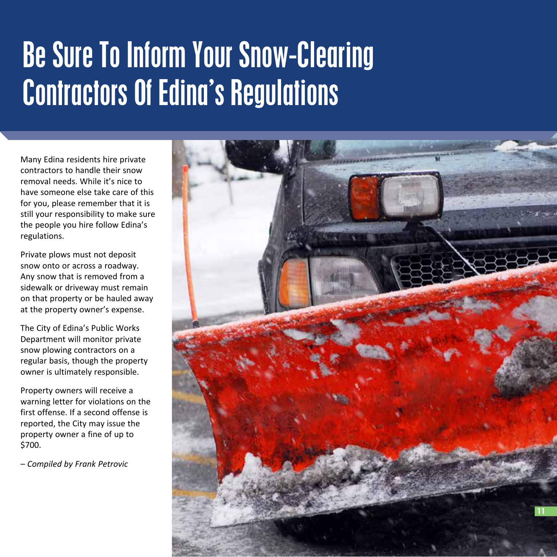### Be Sure To Inform Your Snow-Clearing Contractors Of Edina's Regulations

Many Edina residents hire private contractors to handle their snow removal needs. While it's nice to have someone else take care of this for you, please remember that it is still your responsibility to make sure the people you hire follow Edina's regulations.

Private plows must not deposit snow onto or across a roadway. Any snow that is removed from a sidewalk or driveway must remain on that property or be hauled away at the property owner's expense.

The City of Edina's Public Works Department will monitor private snow plowing contractors on a regular basis, though the property owner is ultimately responsible.

Property owners will receive a warning letter for violations on the first offense. If a second offense is reported, the City may issue the property owner a fine of up to \$700.

*– Compiled by Frank Petrovic*